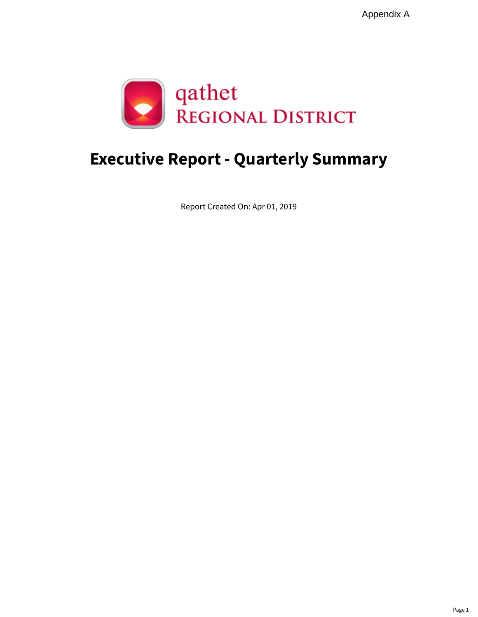

## **Executive Report - Quarterly Summary**

Report Created On: Apr 01, 2019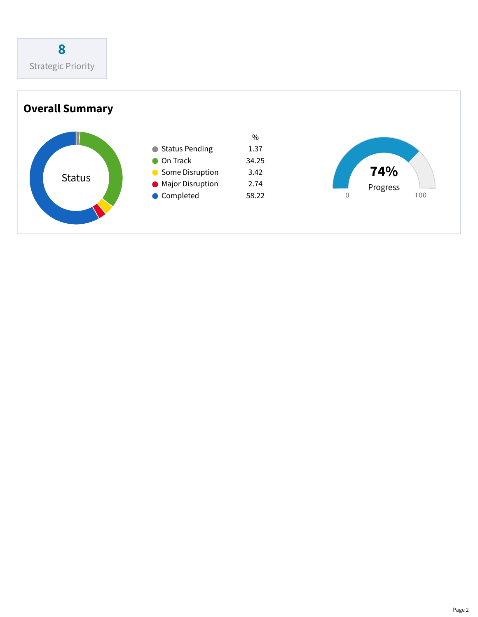

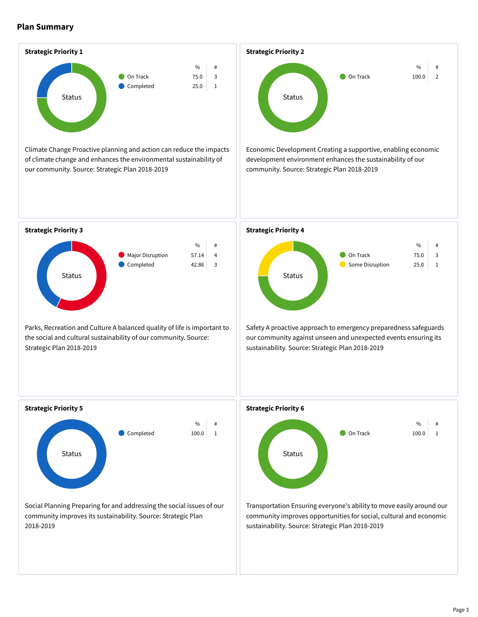## **Plan Summary**





 $\frac{0}{6}$  #

% #

% #

On Track  $100.0$  2

**O** On Track 75.0 3 Some Disruption 25.0 1

**O** On Track 100.0 1